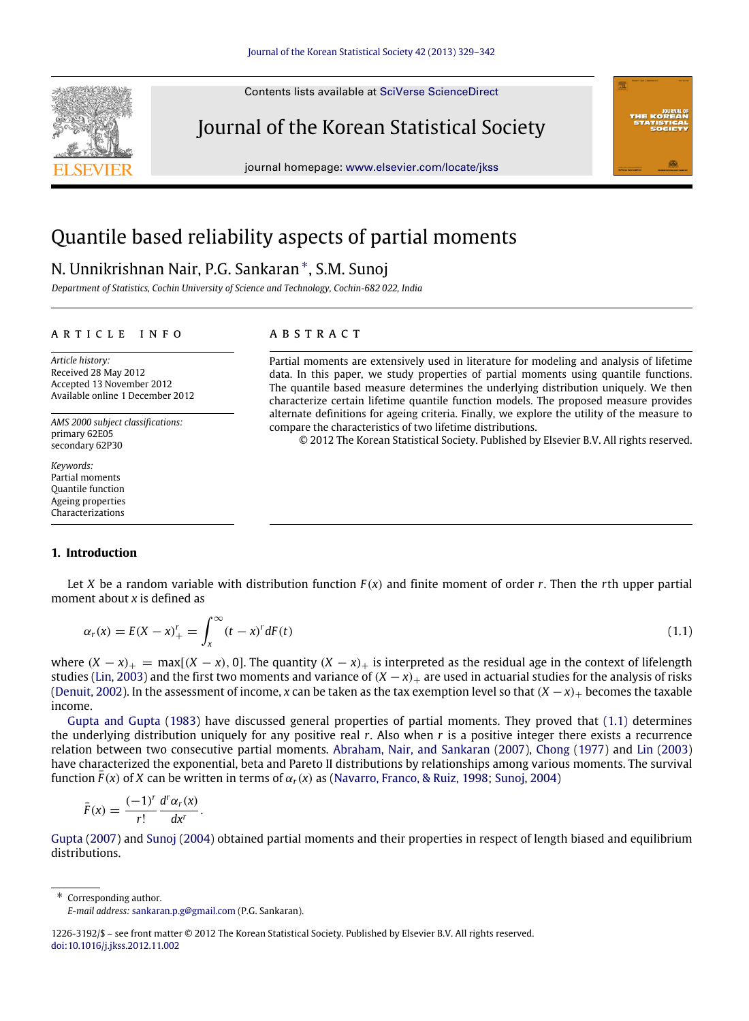Contents lists available at [SciVerse ScienceDirect](http://www.elsevier.com/locate/jkss)

Journal of the Korean Statistical Society

journal homepage: [www.elsevier.com/locate/jkss](http://www.elsevier.com/locate/jkss)

# Quantile based reliability aspects of partial moments

# N. Unnikrishnan Nair, P.G. Sankaran[∗](#page-0-0) , S.M. Sunoj

*Department of Statistics, Cochin University of Science and Technology, Cochin-682 022, India*

#### a r t i c l e i n f o

*Article history:* Received 28 May 2012 Accepted 13 November 2012 Available online 1 December 2012

*AMS 2000 subject classifications:* primary 62E05 secondary 62P30

*Keywords:* Partial moments Quantile function Ageing properties Characterizations

# **1. Introduction**

## Let *X* be a random variable with distribution function  $F(x)$  and finite moment of order *r*. Then the *r*th upper partial moment about *x* is defined as

$$
\alpha_r(x) = E(X - x)_+^r = \int_x^\infty (t - x)^r dF(t) \tag{1.1}
$$

where  $(X - x)_+$  = max[ $(X - x)$ , 0]. The quantity  $(X - x)_+$  is interpreted as the residual age in the context of lifelength studies [\(Lin,](#page-13-0) [2003\)](#page-13-0) and the first two moments and variance of  $(X - x)_+$  are used in actuarial studies for the analysis of risks [\(Denuit,](#page-12-0) [2002\)](#page-12-0). In the assessment of income, *x* can be taken as the tax exemption level so that (*X* −*x*)<sup>+</sup> becomes the taxable income.

[Gupta](#page-12-1) [and](#page-12-1) [Gupta](#page-12-1) [\(1983\)](#page-12-1) have discussed general properties of partial moments. They proved that [\(1.1\)](#page-0-1) determines the underlying distribution uniquely for any positive real *r*. Also when *r* is a positive integer there exists a recurrence relation between two consecutive partial moments. [Abraham,](#page-12-2) [Nair,](#page-12-2) [and](#page-12-2) [Sankaran](#page-12-2) [\(2007\)](#page-12-2), [Chong](#page-12-3) [\(1977\)](#page-12-3) and [Lin](#page-13-0) [\(2003\)](#page-13-0) have characterized the exponential, beta and Pareto II distributions by relationships among various moments. The survival function  $F(x)$  of *X* can be written in terms of  $\alpha_r(x)$  as [\(Navarro,](#page-13-1) [Franco,](#page-13-1) [&](#page-13-1) [Ruiz,](#page-13-1) [1998;](#page-13-1) [Sunoj,](#page-13-2) [2004\)](#page-13-2)

$$
\bar{F}(x) = \frac{(-1)^r}{r!} \frac{d^r \alpha_r(x)}{dx^r}.
$$

[Gupta](#page-12-4) [\(2007\)](#page-12-4) and [Sunoj](#page-13-2) [\(2004\)](#page-13-2) obtained partial moments and their properties in respect of length biased and equilibrium distributions.

<span id="page-0-0"></span>∗ Corresponding author.

#### a b s t r a c t

Partial moments are extensively used in literature for modeling and analysis of lifetime data. In this paper, we study properties of partial moments using quantile functions. The quantile based measure determines the underlying distribution uniquely. We then characterize certain lifetime quantile function models. The proposed measure provides alternate definitions for ageing criteria. Finally, we explore the utility of the measure to compare the characteristics of two lifetime distributions.

<span id="page-0-1"></span>© 2012 The Korean Statistical Society. Published by Elsevier B.V. All rights reserved.





*E-mail address:* [sankaran.p.g@gmail.com](mailto:sankaran.p.g@gmail.com) (P.G. Sankaran).

<sup>1226-3192/\$ –</sup> see front matter © 2012 The Korean Statistical Society. Published by Elsevier B.V. All rights reserved. [doi:10.1016/j.jkss.2012.11.002](http://dx.doi.org/10.1016/j.jkss.2012.11.002)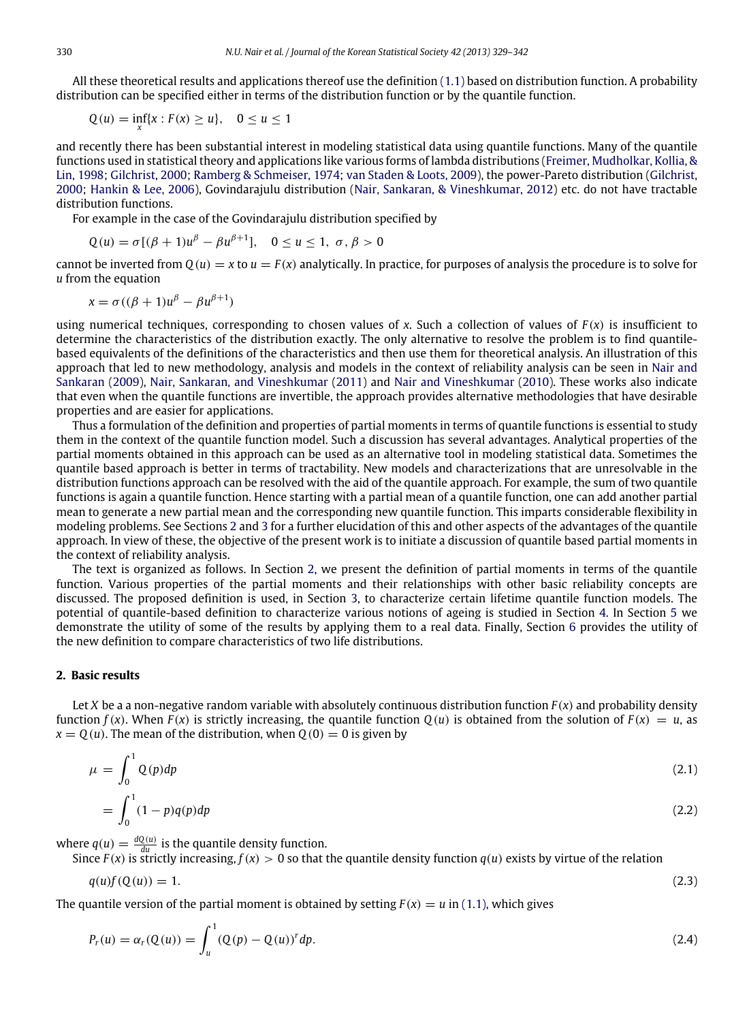All these theoretical results and applications thereof use the definition [\(1.1\)](#page-0-1) based on distribution function. A probability distribution can be specified either in terms of the distribution function or by the quantile function.

 $Q(u) = \inf_{x} \{x : F(x) \ge u\}, \quad 0 \le u \le 1$ 

and recently there has been substantial interest in modeling statistical data using quantile functions. Many of the quantile functions used in statistical theory and applications like various forms of lambda distributions [\(Freimer,](#page-12-5) [Mudholkar,](#page-12-5) [Kollia,](#page-12-5) [&](#page-12-5) [Lin,](#page-12-5) [1998;](#page-12-5) [Gilchrist,](#page-12-6) [2000;](#page-12-6) [Ramberg](#page-13-3) [&](#page-13-3) [Schmeiser,](#page-13-3) [1974;](#page-13-3) [van](#page-13-4) [Staden](#page-13-4) [&](#page-13-4) [Loots,](#page-13-4) [2009\)](#page-13-4), the power-Pareto distribution [\(Gilchrist,](#page-12-6) [2000;](#page-12-6) [Hankin](#page-13-5) [&](#page-13-5) [Lee,](#page-13-5) [2006\)](#page-13-5), Govindarajulu distribution [\(Nair,](#page-13-6) [Sankaran,](#page-13-6) [&](#page-13-6) [Vineshkumar,](#page-13-6) [2012\)](#page-13-6) etc. do not have tractable distribution functions.

For example in the case of the Govindarajulu distribution specified by

$$
Q(u) = \sigma[(\beta + 1)u^{\beta} - \beta u^{\beta+1}], \quad 0 \le u \le 1, \ \sigma, \beta > 0
$$

cannot be inverted from  $Q(u) = x$  to  $u = F(x)$  analytically. In practice, for purposes of analysis the procedure is to solve for *u* from the equation

$$
x = \sigma((\beta + 1)u^{\beta} - \beta u^{\beta+1})
$$

using numerical techniques, corresponding to chosen values of  $x$ . Such a collection of values of  $F(x)$  is insufficient to determine the characteristics of the distribution exactly. The only alternative to resolve the problem is to find quantilebased equivalents of the definitions of the characteristics and then use them for theoretical analysis. An illustration of this approach that led to new methodology, analysis and models in the context of reliability analysis can be seen in [Nair](#page-13-7) [and](#page-13-7) [Sankaran](#page-13-7) [\(2009\)](#page-13-7), [Nair,](#page-13-8) [Sankaran,](#page-13-8) [and](#page-13-8) [Vineshkumar](#page-13-8) [\(2011\)](#page-13-8) and [Nair](#page-13-9) [and](#page-13-9) [Vineshkumar](#page-13-9) [\(2010\)](#page-13-9). These works also indicate that even when the quantile functions are invertible, the approach provides alternative methodologies that have desirable properties and are easier for applications.

Thus a formulation of the definition and properties of partial moments in terms of quantile functions is essential to study them in the context of the quantile function model. Such a discussion has several advantages. Analytical properties of the partial moments obtained in this approach can be used as an alternative tool in modeling statistical data. Sometimes the quantile based approach is better in terms of tractability. New models and characterizations that are unresolvable in the distribution functions approach can be resolved with the aid of the quantile approach. For example, the sum of two quantile functions is again a quantile function. Hence starting with a partial mean of a quantile function, one can add another partial mean to generate a new partial mean and the corresponding new quantile function. This imparts considerable flexibility in modeling problems. See Sections [2](#page-1-0) and [3](#page-4-0) for a further elucidation of this and other aspects of the advantages of the quantile approach. In view of these, the objective of the present work is to initiate a discussion of quantile based partial moments in the context of reliability analysis.

The text is organized as follows. In Section [2,](#page-1-0) we present the definition of partial moments in terms of the quantile function. Various properties of the partial moments and their relationships with other basic reliability concepts are discussed. The proposed definition is used, in Section [3,](#page-4-0) to characterize certain lifetime quantile function models. The potential of quantile-based definition to characterize various notions of ageing is studied in Section [4.](#page-7-0) In Section [5](#page-10-0) we demonstrate the utility of some of the results by applying them to a real data. Finally, Section [6](#page-11-0) provides the utility of the new definition to compare characteristics of two life distributions.

## <span id="page-1-0"></span>**2. Basic results**

Let *X* be a a non-negative random variable with absolutely continuous distribution function *F* (*x*) and probability density function  $f(x)$ . When  $F(x)$  is strictly increasing, the quantile function  $Q(u)$  is obtained from the solution of  $F(x) = u$ , as  $x = Q(u)$ . The mean of the distribution, when  $Q(0) = 0$  is given by

<span id="page-1-2"></span>
$$
\mu = \int_0^1 Q(p) dp
$$
\n
$$
= \int_0^1 (1 - p) q(p) dp
$$
\n(2.1)

where  $q(u) = \frac{dQ(u)}{du}$  is the quantile density function.

Since  $F(x)$  is strictly increasing,  $f(x) > 0$  so that the quantile density function  $q(u)$  exists by virtue of the relation

<span id="page-1-1"></span>
$$
q(u)f(Q(u)) = 1. \tag{2.3}
$$

The quantile version of the partial moment is obtained by setting  $F(x) = u$  in [\(1.1\),](#page-0-1) which gives

$$
P_r(u) = \alpha_r(Q(u)) = \int_u^1 (Q(p) - Q(u))^r dp.
$$
\n(2.4)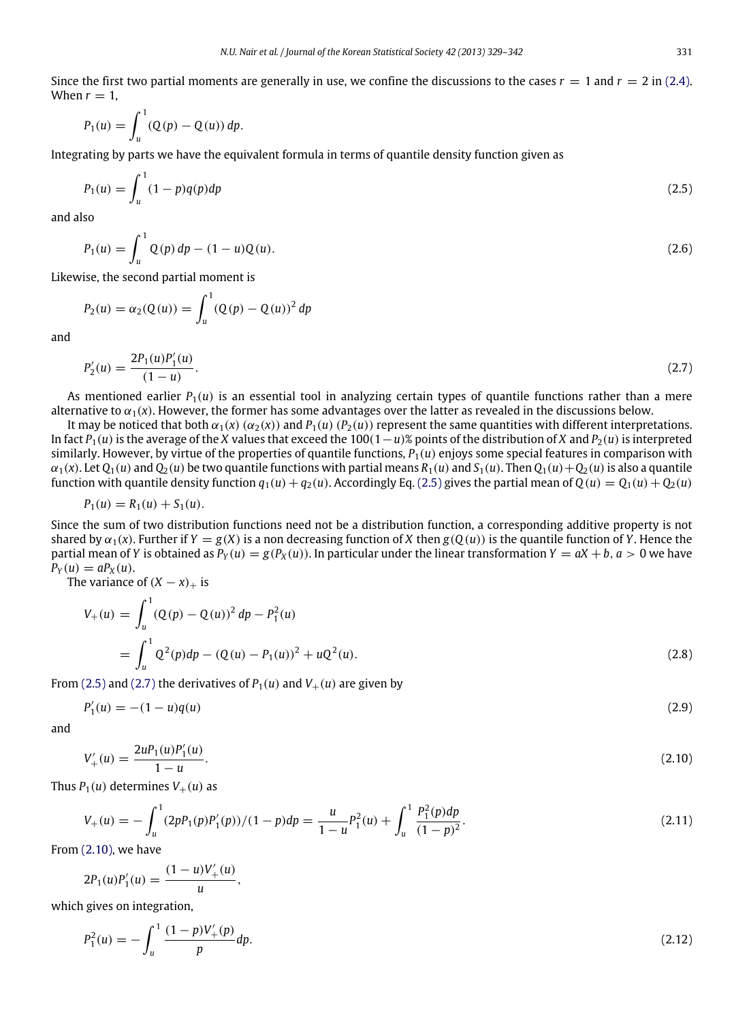Since the first two partial moments are generally in use, we confine the discussions to the cases  $r = 1$  and  $r = 2$  in [\(2.4\).](#page-1-1) When  $r = 1$ ,

$$
P_1(u) = \int_u^1 (Q(p) - Q(u)) \, dp.
$$

Integrating by parts we have the equivalent formula in terms of quantile density function given as

<span id="page-2-0"></span>
$$
P_1(u) = \int_u^1 (1 - p)q(p)dp
$$
\n(2.5)

and also

$$
P_1(u) = \int_u^1 Q(p) \, dp - (1 - u)Q(u). \tag{2.6}
$$

Likewise, the second partial moment is

$$
P_2(u) = \alpha_2(Q(u)) = \int_u^1 (Q(p) - Q(u))^2 \, dp
$$

and

<span id="page-2-1"></span>
$$
P_2'(u) = \frac{2P_1(u)P_1'(u)}{(1-u)}.\t(2.7)
$$

As mentioned earlier  $P_1(u)$  is an essential tool in analyzing certain types of quantile functions rather than a mere alternative to  $\alpha_1(x)$ . However, the former has some advantages over the latter as revealed in the discussions below.

It may be noticed that both  $\alpha_1(x)$  ( $\alpha_2(x)$ ) and  $P_1(u)$  ( $P_2(u)$ ) represent the same quantities with different interpretations. In fact *P*1(*u*)is the average of the *X* values that exceed the 100(1−*u*)% points of the distribution of *X* and *P*2(*u*)is interpreted similarly. However, by virtue of the properties of quantile functions,  $P_1(u)$  enjoys some special features in comparison with  $\alpha_1(x)$ . Let  $Q_1(u)$  and  $Q_2(u)$  be two quantile functions with partial means  $R_1(u)$  and  $S_1(u)$ . Then  $Q_1(u) + Q_2(u)$  is also a quantile function with quantile density function  $q_1(u) + q_2(u)$ . Accordingly Eq. [\(2.5\)](#page-2-0) gives the partial mean of  $Q(u) = Q_1(u) + Q_2(u)$ 

$$
P_1(u) = R_1(u) + S_1(u).
$$

Since the sum of two distribution functions need not be a distribution function, a corresponding additive property is not shared by  $\alpha_1(x)$ . Further if  $Y = g(X)$  is a non decreasing function of *X* then  $g(Q(u))$  is the quantile function of *Y*. Hence the partial mean of *Y* is obtained as  $P_Y(u) = g(P_X(u))$ . In particular under the linear transformation  $Y = aX + b$ ,  $a > 0$  we have  $P_Y(u) = aP_X(u)$ .

The variance of  $(X - x)_+$  is

<span id="page-2-3"></span>
$$
V_{+}(u) = \int_{u}^{1} (Q(p) - Q(u))^{2} dp - P_{1}^{2}(u)
$$
  
= 
$$
\int_{u}^{1} Q^{2}(p) dp - (Q(u) - P_{1}(u))^{2} + uQ^{2}(u).
$$
 (2.8)

From [\(2.5\)](#page-2-0) and [\(2.7\)](#page-2-1) the derivatives of  $P_1(u)$  and  $V_+(u)$  are given by

<span id="page-2-5"></span><span id="page-2-2"></span>
$$
P_1'(u) = -(1 - u)q(u) \tag{2.9}
$$

and

$$
V'_{+}(u) = \frac{2uP_1(u)P'_1(u)}{1-u}.\tag{2.10}
$$

Thus  $P_1(u)$  determines  $V_+(u)$  as

<span id="page-2-4"></span>
$$
V_{+}(u) = -\int_{u}^{1} (2pP_{1}(p)P'_{1}(p))/(1-p)dp = \frac{u}{1-u}P_{1}^{2}(u) + \int_{u}^{1} \frac{P_{1}^{2}(p)dp}{(1-p)^{2}}.
$$
\n(2.11)

From [\(2.10\),](#page-2-2) we have

$$
2P_1(u)P'_1(u) = \frac{(1-u)V'_+(u)}{u},
$$

which gives on integration,

$$
P_1^2(u) = -\int_u^1 \frac{(1-p)V_+^{\prime}(p)}{p} dp. \tag{2.12}
$$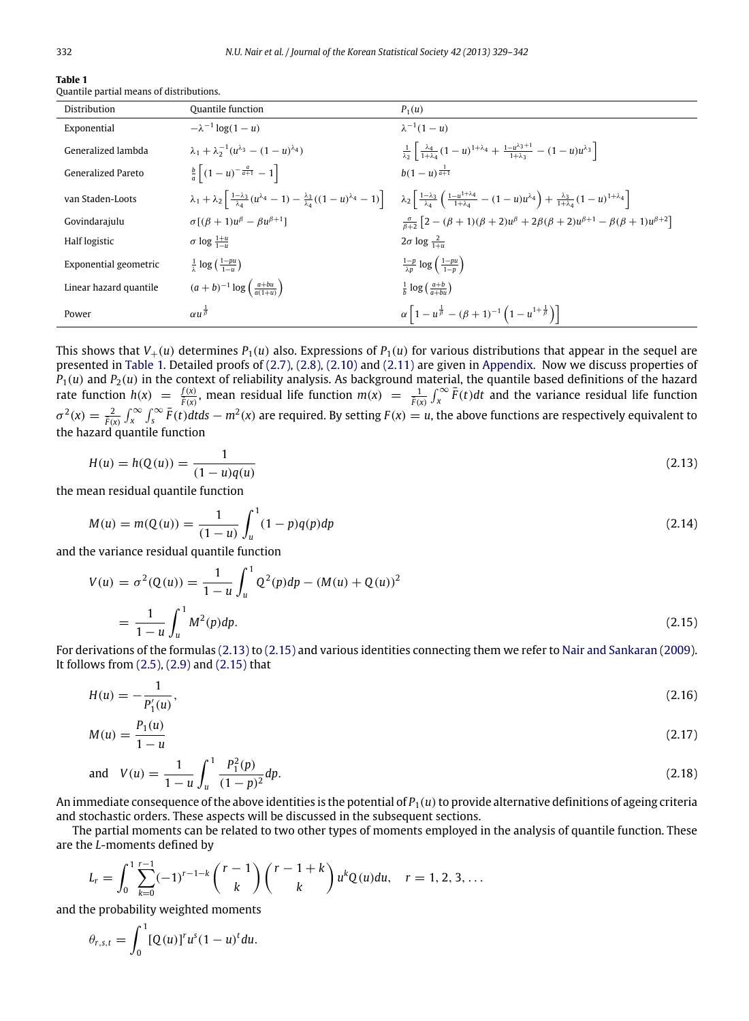| $\sim$<br>۰. | J |  |  |
|--------------|---|--|--|
|              |   |  |  |
|              |   |  |  |

<span id="page-3-0"></span>

| Table 1 |  |                                          |
|---------|--|------------------------------------------|
|         |  | Quantile partial means of distributions. |

| Distribution              | <b>Ouantile function</b>                                        | $P_1(u)$                                                                                                                                                                                                                                                                                                                            |
|---------------------------|-----------------------------------------------------------------|-------------------------------------------------------------------------------------------------------------------------------------------------------------------------------------------------------------------------------------------------------------------------------------------------------------------------------------|
| Exponential               | $-\lambda^{-1}$ log(1 – u)                                      | $\lambda^{-1}(1-u)$                                                                                                                                                                                                                                                                                                                 |
| Generalized lambda        | $\lambda_1 + \lambda_2^{-1}(u^{\lambda_3} - (1-u)^{\lambda_4})$ | $\frac{1}{\lambda_2} \left[ \frac{\lambda_4}{1+\lambda_4} (1-u)^{1+\lambda_4} + \frac{1-u^{\lambda_3+1}}{1+\lambda_3} - (1-u)u^{\lambda_3} \right]$                                                                                                                                                                                 |
| <b>Generalized Pareto</b> | $\frac{b}{a}\left[ (1-u)^{-\frac{a}{a+1}} - 1 \right]$          | $b(1-u)^{\frac{1}{a+1}}$                                                                                                                                                                                                                                                                                                            |
| van Staden-Loots          |                                                                 | $\lambda_1 + \lambda_2 \left[ \frac{1-\lambda_3}{\lambda_4} (u^{\lambda_4} - 1) - \frac{\lambda_3}{\lambda_4} ((1-u)^{\lambda_4} - 1) \right] \lambda_2 \left[ \frac{1-\lambda_3}{\lambda_4} \left( \frac{1-u^{1+\lambda_4}}{1+\lambda_4} - (1-u)u^{\lambda_4} \right) + \frac{\lambda_3}{1+\lambda_4} (1-u)^{1+\lambda_4} \right]$ |
| Govindarajulu             | $\sigma[(\beta+1)u^{\beta} - \beta u^{\beta+1}]$                | $\frac{\sigma}{\beta+2} \left[2 - (\beta+1)(\beta+2)u^{\beta} + 2\beta(\beta+2)u^{\beta+1} - \beta(\beta+1)u^{\beta+2}\right]$                                                                                                                                                                                                      |
| Half logistic             | $\sigma$ log $\frac{1+u}{1-u}$                                  | $2\sigma \log \frac{2}{1+\sigma}$                                                                                                                                                                                                                                                                                                   |
| Exponential geometric     | $\frac{1}{2}$ log $(\frac{1-pu}{2})$                            | $rac{1-p}{\lambda n} \log \left( \frac{1-pu}{1-n} \right)$                                                                                                                                                                                                                                                                          |
| Linear hazard quantile    | $(a+b)^{-1} \log \left( \frac{a+bu}{a(1+u)} \right)$            | $\frac{1}{b}$ log $\left(\frac{a+b}{a+bu}\right)$                                                                                                                                                                                                                                                                                   |
| Power                     | $\alpha u^{\frac{1}{\beta}}$                                    | $\alpha \left[1-u^{\frac{1}{\beta}}-(\beta+1)^{-1}\left(1-u^{1+\frac{1}{\beta}}\right)\right]$                                                                                                                                                                                                                                      |

This shows that  $V_+(u)$  determines  $P_1(u)$  also. Expressions of  $P_1(u)$  for various distributions that appear in the sequel are presented in [Table 1.](#page-3-0) Detailed proofs of [\(2.7\),](#page-2-1) [\(2.8\),](#page-2-3) [\(2.10\)](#page-2-2) and [\(2.11\)](#page-2-4) are given in [Appendix.](#page-12-7) Now we discuss properties of  $P_1(u)$  and  $P_2(u)$  in the context of reliability analysis. As background material, the quantile based definitions of the hazard rate function  $h(x) = \frac{f(x)}{F(x)}$ , mean residual life function  $m(x) = \frac{1}{F(x)} \int_x^{\infty} \overline{F}(t) dt$  and the variance residual life function  $\sigma^2(x) = \frac{2}{\bar{F}(x)} \int_x^{\infty} \int_s^{\infty} \bar{F}(t) dt ds - m^2(x)$  are required. By setting  $F(x) = u$ , the above functions are respectively equivalent to the hazard quantile function

<span id="page-3-1"></span>
$$
H(u) = h(Q(u)) = \frac{1}{(1 - u)q(u)}
$$
\n(2.13)

the mean residual quantile function

$$
M(u) = m(Q(u)) = \frac{1}{(1-u)} \int_{u}^{1} (1-p)q(p)dp
$$
\n(2.14)

and the variance residual quantile function

<span id="page-3-2"></span>
$$
V(u) = \sigma^2(Q(u)) = \frac{1}{1-u} \int_u^1 Q^2(p) dp - (M(u) + Q(u))^2
$$
  
= 
$$
\frac{1}{1-u} \int_u^1 M^2(p) dp.
$$
 (2.15)

For derivations of the formulas [\(2.13\)](#page-3-1) to [\(2.15\)](#page-3-2) and various identities connecting them we refer to [Nair](#page-13-7) [and](#page-13-7) [Sankaran](#page-13-7) [\(2009\)](#page-13-7). It follows from [\(2.5\),](#page-2-0) [\(2.9\)](#page-2-5) and [\(2.15\)](#page-3-2) that

$$
H(u) = -\frac{1}{P_1'(u)},\tag{2.16}
$$

<span id="page-3-3"></span>
$$
M(u) = \frac{P_1(u)}{1 - u} \tag{2.17}
$$

<span id="page-3-4"></span>and 
$$
V(u) = \frac{1}{1-u} \int_{u}^{1} \frac{P_1^2(p)}{(1-p)^2} dp.
$$
 (2.18)

An immediate consequence of the above identities is the potential of  $P_1(u)$  to provide alternative definitions of ageing criteria and stochastic orders. These aspects will be discussed in the subsequent sections.

The partial moments can be related to two other types of moments employed in the analysis of quantile function. These are the *L*-moments defined by

$$
L_r = \int_0^1 \sum_{k=0}^{r-1} (-1)^{r-1-k} {r-1 \choose k} {r-1+k \choose k} u^k Q(u) du, \quad r = 1, 2, 3, ...
$$

and the probability weighted moments

$$
\theta_{r,s,t} = \int_0^1 [Q(u)]^r u^s (1-u)^t du.
$$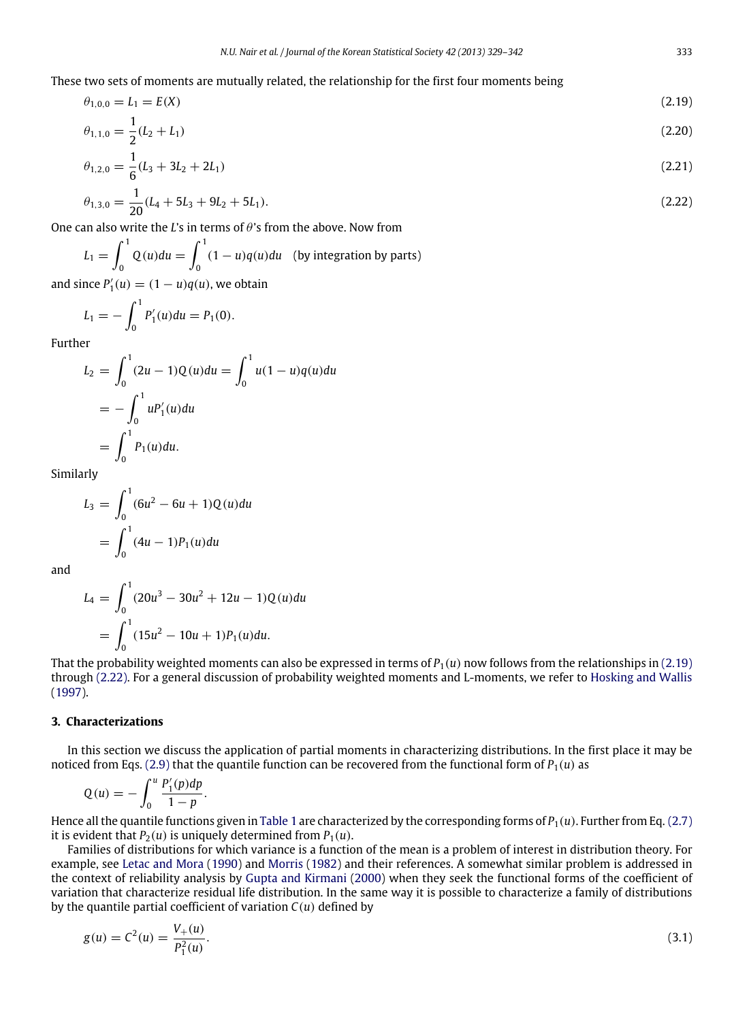These two sets of moments are mutually related, the relationship for the first four moments being

$$
\theta_{1,0,0} = L_1 = E(X) \tag{2.19}
$$

<span id="page-4-1"></span>
$$
\theta_{1,1,0} = \frac{1}{2}(L_2 + L_1) \tag{2.20}
$$

$$
\theta_{1,2,0} = \frac{1}{6}(L_3 + 3L_2 + 2L_1) \tag{2.21}
$$

<span id="page-4-2"></span>
$$
\theta_{1,3,0} = \frac{1}{20}(L_4 + 5L_3 + 9L_2 + 5L_1). \tag{2.22}
$$

One can also write the *L*'s in terms of θ's from the above. Now from

 $L_1 = \int_1^1$  $\int_0^1 Q(u) du = \int_0^1$  $\int_{0}^{1} (1-u)q(u)du$  (by integration by parts) and since  $P'_1(u) = (1 - u)q(u)$ , we obtain

$$
L_1 = -\int_0^1 P_1'(u) du = P_1(0).
$$

Further

$$
L_2 = \int_0^1 (2u - 1)Q(u)du = \int_0^1 u(1 - u)q(u)du
$$
  
=  $-\int_0^1 uP'_1(u)du$   
=  $\int_0^1 P_1(u)du$ .

Similarly

$$
L_3 = \int_0^1 (6u^2 - 6u + 1)Q(u)du
$$
  
= 
$$
\int_0^1 (4u - 1)P_1(u)du
$$

and

$$
L_4 = \int_0^1 (20u^3 - 30u^2 + 12u - 1)Q(u)du
$$
  
= 
$$
\int_0^1 (15u^2 - 10u + 1)P_1(u)du.
$$

That the probability weighted moments can also be expressed in terms of  $P_1(u)$  now follows from the relationships in [\(2.19\)](#page-4-1) through [\(2.22\).](#page-4-2) For a general discussion of probability weighted moments and L-moments, we refer to [Hosking](#page-13-10) [and](#page-13-10) [Wallis](#page-13-10) [\(1997\)](#page-13-10).

# <span id="page-4-0"></span>**3. Characterizations**

In this section we discuss the application of partial moments in characterizing distributions. In the first place it may be noticed from Eqs. [\(2.9\)](#page-2-5) that the quantile function can be recovered from the functional form of  $P_1(u)$  as

$$
Q(u) = -\int_0^u \frac{P'_1(p)dp}{1-p}.
$$

Hence all the quantile functions given in [Table 1](#page-3-0) are characterized by the corresponding forms of *P*1(*u*). Further from Eq. [\(2.7\)](#page-2-1) it is evident that  $P_2(u)$  is uniquely determined from  $P_1(u)$ .

Families of distributions for which variance is a function of the mean is a problem of interest in distribution theory. For example, see [Letac](#page-13-11) [and](#page-13-11) [Mora](#page-13-11) [\(1990\)](#page-13-11) and [Morris](#page-13-12) [\(1982\)](#page-13-12) and their references. A somewhat similar problem is addressed in the context of reliability analysis by [Gupta](#page-12-8) [and](#page-12-8) [Kirmani](#page-12-8) [\(2000\)](#page-12-8) when they seek the functional forms of the coefficient of variation that characterize residual life distribution. In the same way it is possible to characterize a family of distributions by the quantile partial coefficient of variation *C*(*u*) defined by

$$
g(u) = C2(u) = \frac{V_{+}(u)}{P_{1}^{2}(u)}.
$$
\n(3.1)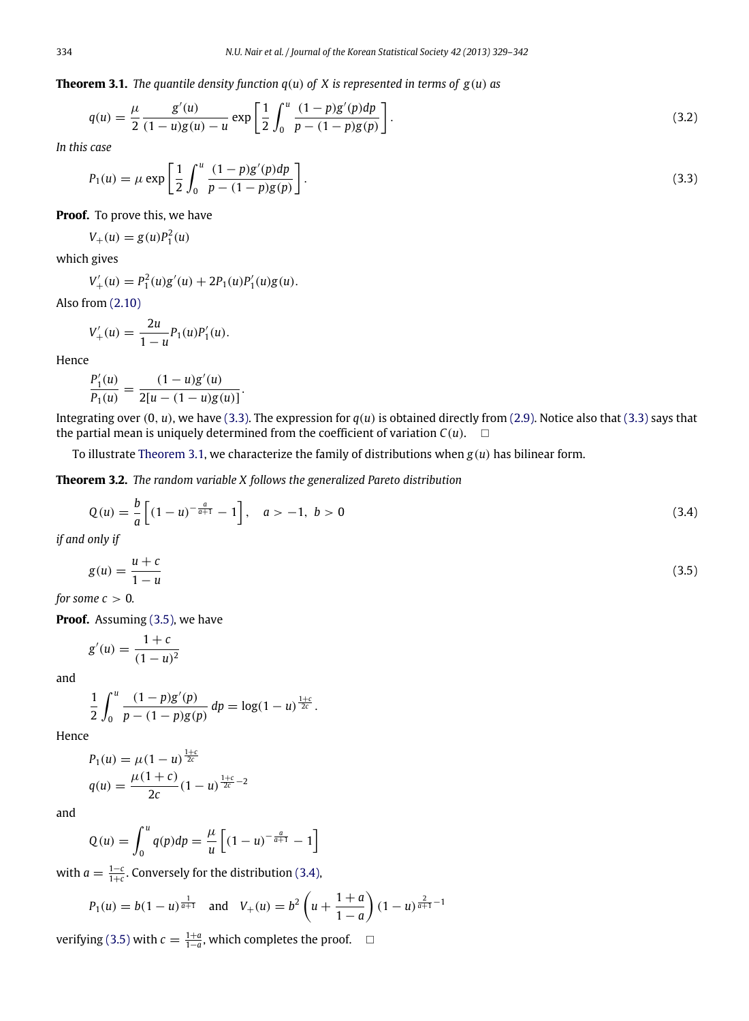**Theorem 3.1.** *The quantile density function*  $q(u)$  *of X is represented in terms of*  $g(u)$  *as* 

<span id="page-5-1"></span>
$$
q(u) = \frac{\mu}{2} \frac{g'(u)}{(1-u)g(u) - u} \exp\left[\frac{1}{2} \int_0^u \frac{(1-p)g'(p)dp}{p - (1-p)g(p)}\right].
$$
\n(3.2)

*In this case*

<span id="page-5-0"></span>
$$
P_1(u) = \mu \exp\left[\frac{1}{2} \int_0^u \frac{(1-p)g'(p)dp}{p - (1-p)g(p)}\right].
$$
\n(3.3)

**Proof.** To prove this, we have

 $V_+(u) = g(u)P_1^2(u)$ 

which gives

$$
V'_{+}(u) = P_1^2(u)g'(u) + 2P_1(u)P'_1(u)g(u).
$$

Also from [\(2.10\)](#page-2-2)

$$
V'_{+}(u) = \frac{2u}{1-u} P_1(u) P'_1(u).
$$

Hence

$$
\frac{P_1'(u)}{P_1(u)} = \frac{(1-u)g'(u)}{2[u-(1-u)g(u)]}.
$$

Integrating over  $(0, u)$ , we have  $(3.3)$ . The expression for  $q(u)$  is obtained directly from  $(2.9)$ . Notice also that  $(3.3)$  says that the partial mean is uniquely determined from the coefficient of variation  $C(u)$ .  $\square$ 

To illustrate [Theorem 3.1,](#page-5-1) we characterize the family of distributions when *g*(*u*) has bilinear form.

**Theorem 3.2.** *The random variable X follows the generalized Pareto distribution*

$$
Q(u) = \frac{b}{a} \left[ (1 - u)^{-\frac{a}{a+1}} - 1 \right], \quad a > -1, \quad b > 0
$$
\n(3.4)

*if and only if*

<span id="page-5-3"></span><span id="page-5-2"></span>
$$
g(u) = \frac{u+c}{1-u} \tag{3.5}
$$

*for some*  $c > 0$ *.* 

**Proof.** Assuming [\(3.5\),](#page-5-2) we have

$$
g'(u) = \frac{1+c}{(1-u)^2}
$$

and

$$
\frac{1}{2}\int_0^u \frac{(1-p)g'(p)}{p-(1-p)g(p)}\,dp=\log(1-u)^{\frac{1+c}{2c}}.
$$

Hence

$$
P_1(u) = \mu (1 - u)^{\frac{1+c}{2c}}
$$
  
 
$$
q(u) = \frac{\mu (1 + c)}{2c} (1 - u)^{\frac{1+c}{2c} - 2}
$$

and

$$
Q(u) = \int_0^u q(p) dp = \frac{\mu}{u} \left[ (1 - u)^{-\frac{a}{a+1}} - 1 \right]
$$

with  $a = \frac{1-c}{1+c}$ . Conversely for the distribution [\(3.4\),](#page-5-3)

$$
P_1(u) = b(1-u)^{\frac{1}{a+1}}
$$
 and  $V_+(u) = b^2 \left(u + \frac{1+a}{1-a}\right)(1-u)^{\frac{2}{a+1}-1}$ 

verifying [\(3.5\)](#page-5-2) with  $c = \frac{1+a}{1-a}$ , which completes the proof.  $□$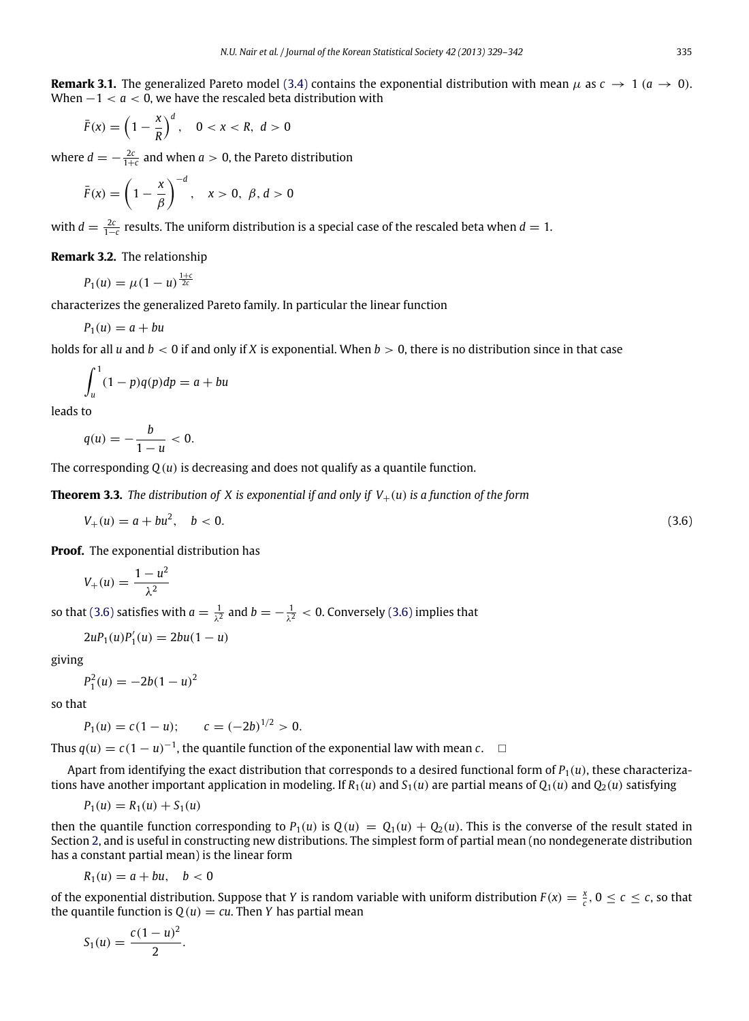**Remark 3.1.** The generalized Pareto model [\(3.4\)](#page-5-3) contains the exponential distribution with mean  $\mu$  as  $c \to 1$  ( $a \to 0$ ). When −1 < *a* < 0, we have the rescaled beta distribution with

$$
\bar{F}(x) = \left(1 - \frac{x}{R}\right)^d, \quad 0 < x < R, \ d > 0
$$

where  $d = -\frac{2c}{1+c}$  and when  $a > 0$ , the Pareto distribution

$$
\bar{F}(x) = \left(1 - \frac{x}{\beta}\right)^{-d}, \quad x > 0, \ \beta, d > 0
$$

with  $d = \frac{2c}{1-c}$  results. The uniform distribution is a special case of the rescaled beta when  $d = 1$ .

**Remark 3.2.** The relationship

$$
P_1(u) = \mu (1 - u)^{\frac{1+c}{2c}}
$$

characterizes the generalized Pareto family. In particular the linear function

$$
P_1(u) = a + bu
$$

holds for all *u* and *b* < 0 if and only if *X* is exponential. When *b* > 0, there is no distribution since in that case

$$
\int_u^1 (1-p)q(p)dp = a + bu
$$

leads to

$$
q(u)=-\frac{b}{1-u}<0.
$$

The corresponding *Q*(*u*) is decreasing and does not qualify as a quantile function.

**Theorem 3.3.** *The distribution of X is exponential if and only if*  $V_+(u)$  *is a function of the form* 

$$
V_+(u) = a + bu^2, \quad b < 0. \tag{3.6}
$$

**Proof.** The exponential distribution has

<span id="page-6-0"></span>
$$
V_+(u) = \frac{1 - u^2}{\lambda^2}
$$

so that [\(3.6\)](#page-6-0) satisfies with  $a = \frac{1}{\lambda^2}$  and  $b = -\frac{1}{\lambda^2} < 0$ . Conversely (3.6) implies that

$$
2uP_1(u)P'_1(u) = 2bu(1-u)
$$

giving

$$
P_1^2(u) = -2b(1-u)^2
$$

so that

 $P_1(u) = c(1 - u);$   $c = (-2b)^{1/2} > 0.$ 

Thus  $q(u) = c(1 - u)^{-1}$ , the quantile function of the exponential law with mean *c*. □

Apart from identifying the exact distribution that corresponds to a desired functional form of  $P_1(u)$ , these characterizations have another important application in modeling. If  $R_1(u)$  and  $S_1(u)$  are partial means of  $Q_1(u)$  and  $Q_2(u)$  satisfying

$$
P_1(u) = R_1(u) + S_1(u)
$$

then the quantile function corresponding to  $P_1(u)$  is  $Q(u) = Q_1(u) + Q_2(u)$ . This is the converse of the result stated in Section [2,](#page-1-0) and is useful in constructing new distributions. The simplest form of partial mean (no nondegenerate distribution has a constant partial mean) is the linear form

$$
R_1(u)=a+bu, \quad b<0
$$

of the exponential distribution. Suppose that *Y* is random variable with uniform distribution  $F(x) = \frac{x}{c}$ ,  $0 \le c \le c$ , so that the quantile function is  $Q(u) = cu$ . Then *Y* has partial mean

$$
S_1(u) = \frac{c(1-u)^2}{2}.
$$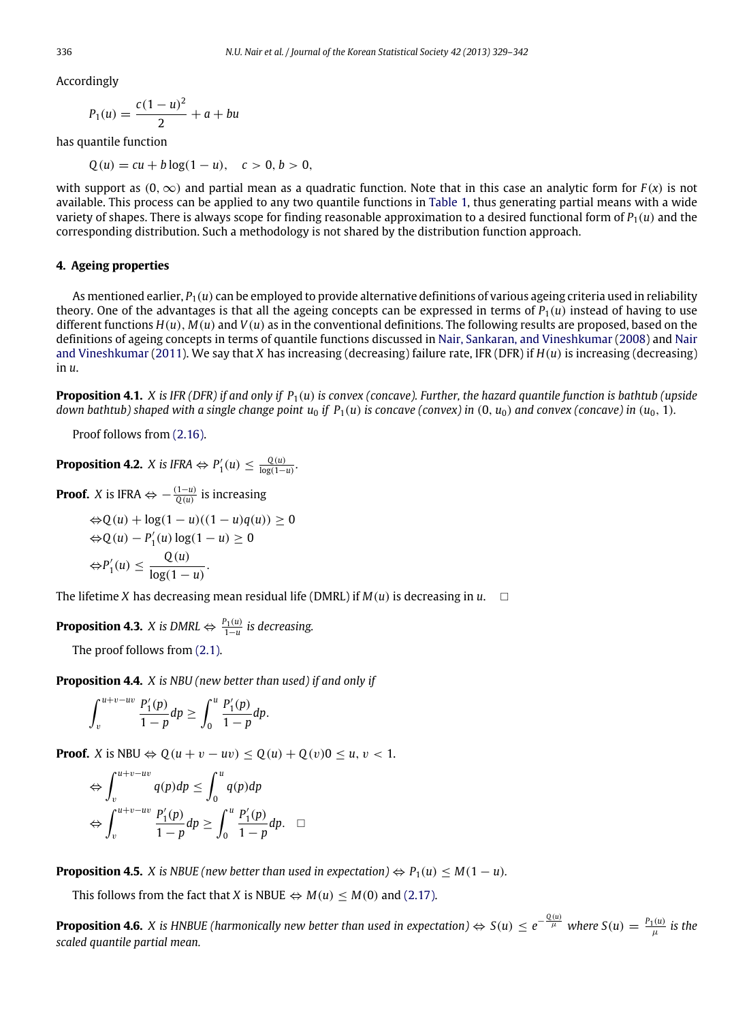Accordingly

$$
P_1(u) = \frac{c(1-u)^2}{2} + a + bu
$$

has quantile function

 $Q(u) = cu + b \log(1 - u), \quad c > 0, b > 0,$ 

with support as  $(0, \infty)$  and partial mean as a quadratic function. Note that in this case an analytic form for  $F(x)$  is not available. This process can be applied to any two quantile functions in [Table 1,](#page-3-0) thus generating partial means with a wide variety of shapes. There is always scope for finding reasonable approximation to a desired functional form of  $P_1(u)$  and the corresponding distribution. Such a methodology is not shared by the distribution function approach.

# <span id="page-7-0"></span>**4. Ageing properties**

As mentioned earlier, *P*1(*u*) can be employed to provide alternative definitions of various ageing criteria used in reliability theory. One of the advantages is that all the ageing concepts can be expressed in terms of  $P_1(u)$  instead of having to use different functions  $H(u)$ ,  $M(u)$  and  $V(u)$  as in the conventional definitions. The following results are proposed, based on the definitions of ageing concepts in terms of quantile functions discussed in [Nair,](#page-13-13) [Sankaran,](#page-13-13) [and](#page-13-13) [Vineshkumar](#page-13-13) [\(2008\)](#page-13-13) and [Nair](#page-13-14) [and](#page-13-14) [Vineshkumar](#page-13-14) [\(2011\)](#page-13-14). We say that *X* has increasing (decreasing) failure rate, IFR (DFR) if *H*(*u*) is increasing (decreasing) in *u*.

**Proposition 4.1.** *X is IFR (DFR) if and only if P*1(*u*) *is convex (concave). Further, the hazard quantile function is bathtub (upside down bathtub) shaped with a single change point*  $u_0$  *if*  $P_1(u)$  *is concave (convex) in*  $(0, u_0)$  and convex (concave) in  $(u_0, 1)$ .

<span id="page-7-1"></span>Proof follows from [\(2.16\).](#page-3-3)

**Proposition 4.2.** *X* is IFRA  $\Leftrightarrow$   $P'_1(u) \leq \frac{Q(u)}{\log(1-u)}$ .

**Proof.** *X* is IFRA  $\Leftrightarrow -\frac{(1-u)}{Q(u)}$  is increasing

$$
\begin{aligned} \Leftrightarrow & Q(u) + \log(1 - u)((1 - u)q(u)) \ge 0 \\ \Leftrightarrow & Q(u) - P_1'(u) \log(1 - u) \ge 0 \\ \Leftrightarrow & P_1'(u) \le \frac{Q(u)}{\log(1 - u)}. \end{aligned}
$$

The lifetime *X* has decreasing mean residual life (DMRL) if  $M(u)$  is decreasing in  $u$ .

**Proposition 4.3.** *X* is DMRL  $\Leftrightarrow \frac{P_1(u)}{1-u}$  is decreasing.

<span id="page-7-2"></span>The proof follows from [\(2.1\).](#page-1-2)

**Proposition 4.4.** *X is NBU (new better than used) if and only if*

$$
\int_v^{u+v-uv} \frac{P'_1(p)}{1-p} dp \ge \int_0^u \frac{P'_1(p)}{1-p} dp.
$$

**Proof.** *X* is NBU  $\Leftrightarrow$   $Q(u + v - uv) \leq Q(u) + Q(v)0 \leq u, v < 1$ .

$$
\Leftrightarrow \int_{v}^{u+v-uv} q(p) dp \le \int_{0}^{u} q(p) dp
$$
  
 
$$
\Leftrightarrow \int_{v}^{u+v-uv} \frac{P_1'(p)}{1-p} dp \ge \int_{0}^{u} \frac{P_1'(p)}{1-p} dp. \quad \Box
$$

**Proposition 4.5.** *X* is NBUE (new better than used in expectation)  $\Leftrightarrow$   $P_1(u) \leq M(1-u)$ .

This follows from the fact that *X* is NBUE  $\Leftrightarrow M(u) \leq M(0)$  and [\(2.17\).](#page-3-4)

**Proposition 4.6.** *X* is HNBUE (harmonically new better than used in expectation)  $\Leftrightarrow$  S(*u*)  $\leq e^{-\frac{Q(u)}{\mu}}$  where S(*u*) =  $\frac{P_1(u)}{\mu}$  is the *scaled quantile partial mean.*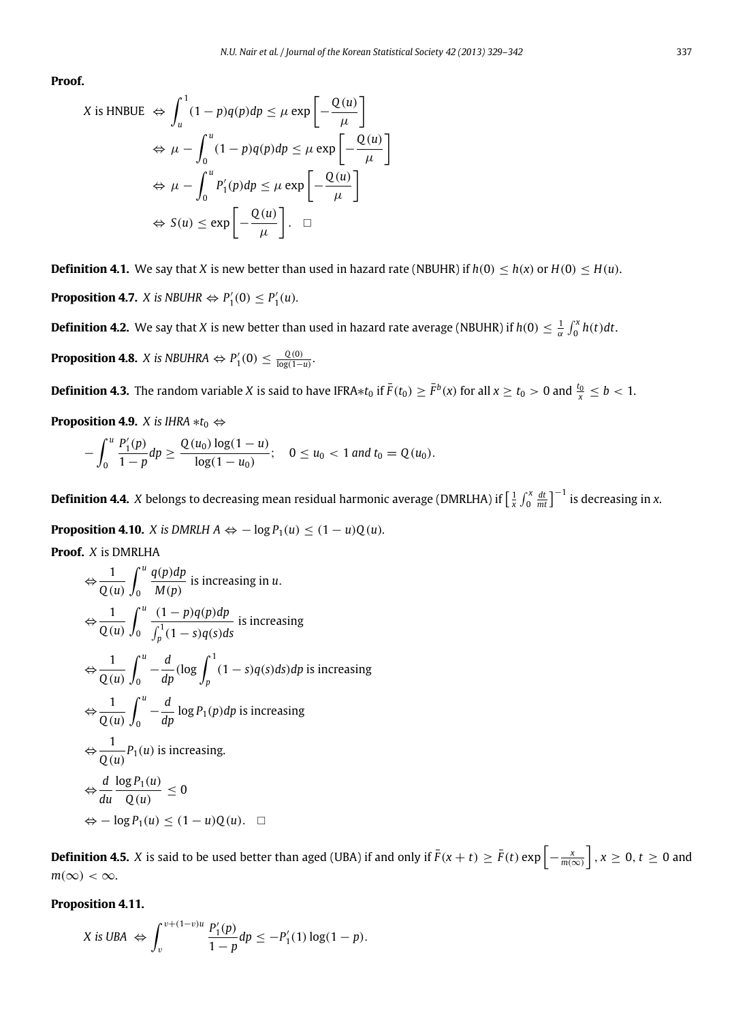**Proof.**

$$
X \text{ is HNBUE } \Leftrightarrow \int_{u}^{1} (1 - p)q(p) dp \le \mu \exp\left[-\frac{Q(u)}{\mu}\right]
$$

$$
\Leftrightarrow \mu - \int_{0}^{u} (1 - p)q(p) dp \le \mu \exp\left[-\frac{Q(u)}{\mu}\right]
$$

$$
\Leftrightarrow \mu - \int_{0}^{u} P_{1}'(p) dp \le \mu \exp\left[-\frac{Q(u)}{\mu}\right]
$$

$$
\Leftrightarrow S(u) \le \exp\left[-\frac{Q(u)}{\mu}\right]. \quad \Box
$$

**Definition 4.1.** We say that *X* is new better than used in hazard rate (NBUHR) if  $h(0) \leq h(x)$  or  $H(0) \leq H(u)$ . **Proposition 4.7.** *X* is *NBUHR*  $\Leftrightarrow$   $P'_1(0) \leq P'_1(u)$ *.* 

**Definition 4.2.** We say that *X* is new better than used in hazard rate average (NBUHR) if  $h(0) \leq \frac{1}{\alpha} \int_0^x h(t) dt$ . **Proposition 4.8.** *X* is NBUHRA  $\Leftrightarrow$   $P'_1(0) \leq \frac{Q(0)}{\log(1-u)}$ .

**Definition 4.3.** The random variable *X* is said to have IFRA $*t_0$  if  $\bar{F}(t_0) \geq \bar{F}^b(x)$  for all  $x \geq t_0 > 0$  and  $\frac{t_0}{x} \leq b < 1$ .

**Proposition 4.9.** *X* is IHRA  $* t_0 \Leftrightarrow$ 

$$
-\int_0^u \frac{P'_1(p)}{1-p} dp \ge \frac{Q(u_0) \log(1-u)}{\log(1-u_0)}; \quad 0 \le u_0 < 1 \text{ and } t_0 = Q(u_0).
$$

**Definition 4.4.**  $X$  belongs to decreasing mean residual harmonic average (DMRLHA) if  $\left[\frac{1}{x}\int_0^x\frac{dt}{mt}\right]^{-1}$  is decreasing in  $x$ .

**Proposition 4.10.** *X* is DMRLH  $A \Leftrightarrow -\log P_1(u) \le (1-u)Q(u)$ .

**Proof.** *X* is DMRLHA

$$
\Leftrightarrow \frac{1}{Q(u)} \int_0^u \frac{q(p)dp}{M(p)} \text{ is increasing in } u.
$$
  
\n
$$
\Leftrightarrow \frac{1}{Q(u)} \int_0^u \frac{(1-p)q(p)dp}{\int_p^1 (1-s)q(s)ds} \text{ is increasing}
$$
  
\n
$$
\Leftrightarrow \frac{1}{Q(u)} \int_0^u -\frac{d}{dp} (\log \int_p^1 (1-s)q(s)ds)dp \text{ is increasing}
$$
  
\n
$$
\Leftrightarrow \frac{1}{Q(u)} \int_0^u -\frac{d}{dp} \log P_1(p)dp \text{ is increasing}
$$
  
\n
$$
\Leftrightarrow \frac{1}{Q(u)} P_1(u) \text{ is increasing.}
$$
  
\n
$$
\Leftrightarrow \frac{d}{du} \frac{\log P_1(u)}{Q(u)} \le 0
$$
  
\n
$$
\Leftrightarrow -\log P_1(u) \le (1-u)Q(u). \quad \Box
$$

**Definition 4.5.** *X* is said to be used better than aged (UBA) if and only if  $\bar{F}(x+t) \geq \bar{F}(t) \exp\left[-\frac{x}{m(\infty)}\right]$ ,  $x \geq 0, t \geq 0$  and  $m(\infty) < \infty$ .

**Proposition 4.11.**

$$
X \text{ is UBA } \Leftrightarrow \int_v^{v+(1-v)u} \frac{P'_1(p)}{1-p} dp \le -P'_1(1) \log(1-p).
$$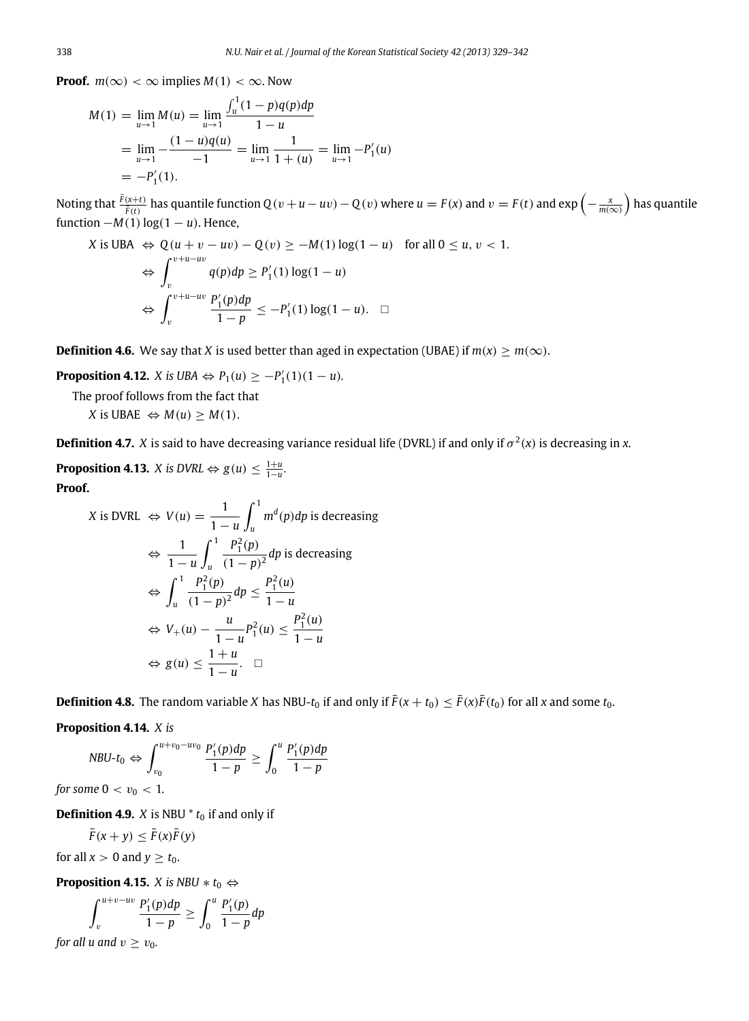**Proof.**  $m(\infty) < \infty$  implies  $M(1) < \infty$ . Now

$$
M(1) = \lim_{u \to 1} M(u) = \lim_{u \to 1} \frac{\int_u^1 (1 - p) q(p) dp}{1 - u}
$$
  
= 
$$
\lim_{u \to 1} -\frac{(1 - u) q(u)}{-1} = \lim_{u \to 1} \frac{1}{1 + (u)} = \lim_{u \to 1} -P'_1(u)
$$
  
= 
$$
-P'_1(1).
$$

Noting that  $\frac{\bar{F}(x+t)}{\bar{F}(t)}$  has quantile function  $Q(v+u-uv)-Q(v)$  where  $u=F(x)$  and  $v=F(t)$  and  $\exp\left(-\frac{x}{m(\infty)}\right)$  has quantile function  $-M(1)$  log( $1 - u$ ). Hence,

$$
X \text{ is UBA} \Leftrightarrow Q(u+v-uv) - Q(v) \ge -M(1) \log(1-u) \quad \text{for all } 0 \le u, v < 1.
$$
\n
$$
\Leftrightarrow \int_{v}^{v+u-uv} q(p) dp \ge P'_{1}(1) \log(1-u)
$$
\n
$$
\Leftrightarrow \int_{v}^{v+u-uv} \frac{P'_{1}(p) dp}{1-p} \le -P'_{1}(1) \log(1-u). \quad \Box
$$

**Definition 4.6.** We say that *X* is used better than aged in expectation (UBAE) if  $m(x) > m(\infty)$ .

**Proposition 4.12.** *X* is UBA  $\Leftrightarrow$   $P_1(u) \ge -P'_1(1)(1-u)$ .

The proof follows from the fact that

*X* is UBAE  $\Leftrightarrow M(u) > M(1)$ .

**Definition 4.7.** X is said to have decreasing variance residual life (DVRL) if and only if  $\sigma^2(x)$  is decreasing in x.

**Proposition 4.13.** *X* is  $DVRL \Leftrightarrow g(u) \leq \frac{1+u}{1-u}$ . **Proof.**

$$
X \text{ is DVRL} \Leftrightarrow V(u) = \frac{1}{1-u} \int_u^1 m^d(p) dp \text{ is decreasing}
$$
\n
$$
\Leftrightarrow \frac{1}{1-u} \int_u^1 \frac{P_1^2(p)}{(1-p)^2} dp \text{ is decreasing}
$$
\n
$$
\Leftrightarrow \int_u^1 \frac{P_1^2(p)}{(1-p)^2} dp \le \frac{P_1^2(u)}{1-u}
$$
\n
$$
\Leftrightarrow V_+(u) - \frac{u}{1-u} P_1^2(u) \le \frac{P_1^2(u)}{1-u}
$$
\n
$$
\Leftrightarrow g(u) \le \frac{1+u}{1-u}. \quad \Box
$$

**Definition 4.8.** The random variable *X* has NBU-*t*<sub>0</sub> if and only if  $\bar{F}(x+t_0) \leq \bar{F}(x)\bar{F}(t_0)$  for all *x* and some *t*<sub>0</sub>.

**Proposition 4.14.** *X is*

$$
NBU-t_0 \Leftrightarrow \int_{v_0}^{u+v_0 - uv_0} \frac{P'_1(p) dp}{1 - p} \ge \int_0^u \frac{P'_1(p) dp}{1 - p}
$$

*for some*  $0 < v_0 < 1$ *.* 

**Definition 4.9.** *X* is NBU  $*$   $t_0$  if and only if

$$
\bar{F}(x+y) \leq \bar{F}(x)\bar{F}(y)
$$

for all  $x > 0$  and  $y \ge t_0$ .

**Proposition 4.15.** *X* is NBU  $* t_0 \Leftrightarrow$ 

$$
\int_{v}^{u+v-uv} \frac{P_1'(p)dp}{1-p} \ge \int_{0}^{u} \frac{P_1'(p)}{1-p}dp
$$

*for all u and*  $v \ge v_0$ *.*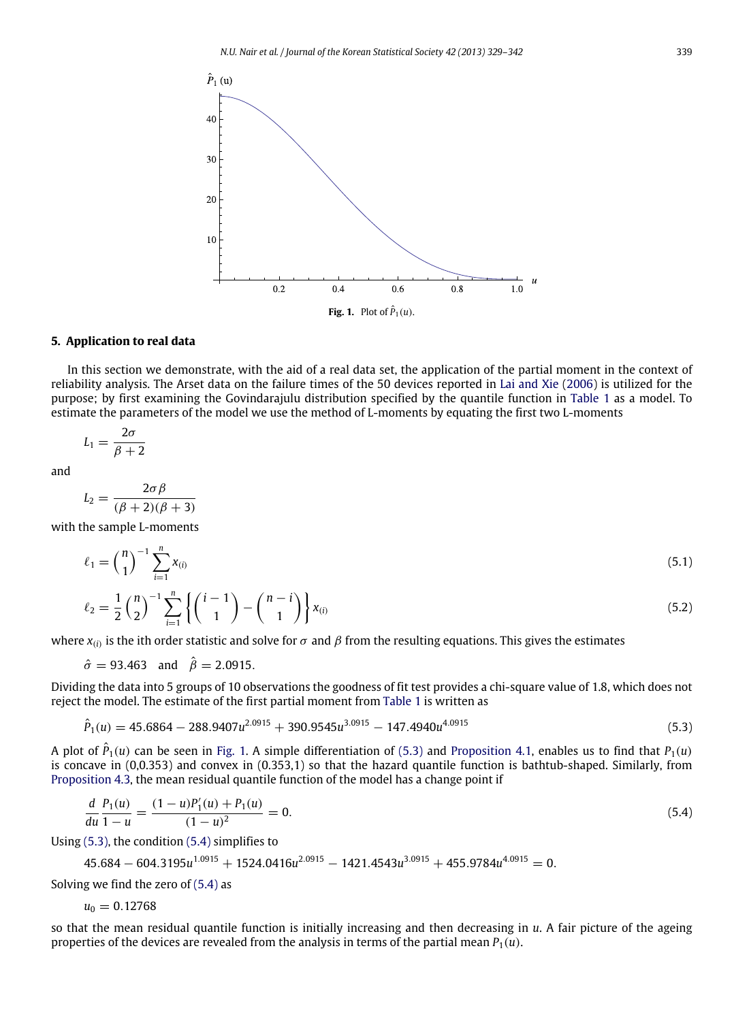<span id="page-10-1"></span>

#### <span id="page-10-0"></span>**5. Application to real data**

In this section we demonstrate, with the aid of a real data set, the application of the partial moment in the context of reliability analysis. The Arset data on the failure times of the 50 devices reported in [Lai](#page-13-15) [and](#page-13-15) [Xie](#page-13-15) [\(2006\)](#page-13-15) is utilized for the purpose; by first examining the Govindarajulu distribution specified by the quantile function in [Table 1](#page-3-0) as a model. To estimate the parameters of the model we use the method of L-moments by equating the first two L-moments

$$
L_1 = \frac{2\sigma}{\beta + 2}
$$

and

$$
L_2 = \frac{2\sigma\beta}{(\beta+2)(\beta+3)}
$$

with the sample L-moments

$$
\ell_1 = \binom{n}{1}^{-1} \sum_{i=1}^n x_{(i)}
$$
\n(5.1)

$$
\ell_2 = \frac{1}{2} {n \choose 2}^{-1} \sum_{i=1}^n \left\{ {i-1 \choose 1} - {n-i \choose 1} \right\} x_{(i)}
$$
(5.2)

where  $x_{(i)}$  is the ith order statistic and solve for  $\sigma$  and  $\beta$  from the resulting equations. This gives the estimates

 $\hat{\sigma} = 93.463$  and  $\hat{\beta} = 2.0915$ .

Dividing the data into 5 groups of 10 observations the goodness of fit test provides a chi-square value of 1.8, which does not reject the model. The estimate of the first partial moment from [Table 1](#page-3-0) is written as

<span id="page-10-2"></span>
$$
\hat{P}_1(u) = 45.6864 - 288.9407u^{2.0915} + 390.9545u^{3.0915} - 147.4940u^{4.0915}
$$
\n
$$
(5.3)
$$

A plot of  $\hat{P}_1(u)$  can be seen in [Fig. 1.](#page-10-1) A simple differentiation of [\(5.3\)](#page-10-2) and [Proposition 4.1,](#page-7-1) enables us to find that  $P_1(u)$ is concave in (0,0.353) and convex in (0.353,1) so that the hazard quantile function is bathtub-shaped. Similarly, from [Proposition 4.3,](#page-7-2) the mean residual quantile function of the model has a change point if

<span id="page-10-3"></span>
$$
\frac{d}{du}\frac{P_1(u)}{1-u} = \frac{(1-u)P_1'(u) + P_1(u)}{(1-u)^2} = 0.
$$
\n(5.4)

Using [\(5.3\),](#page-10-2) the condition [\(5.4\)](#page-10-3) simplifies to

$$
45.684 - 604.3195u^{1.0915} + 1524.0416u^{2.0915} - 1421.4543u^{3.0915} + 455.9784u^{4.0915} = 0.
$$

Solving we find the zero of  $(5.4)$  as

$$
u_0=0.12768
$$

so that the mean residual quantile function is initially increasing and then decreasing in *u*. A fair picture of the ageing properties of the devices are revealed from the analysis in terms of the partial mean  $P_1(u)$ .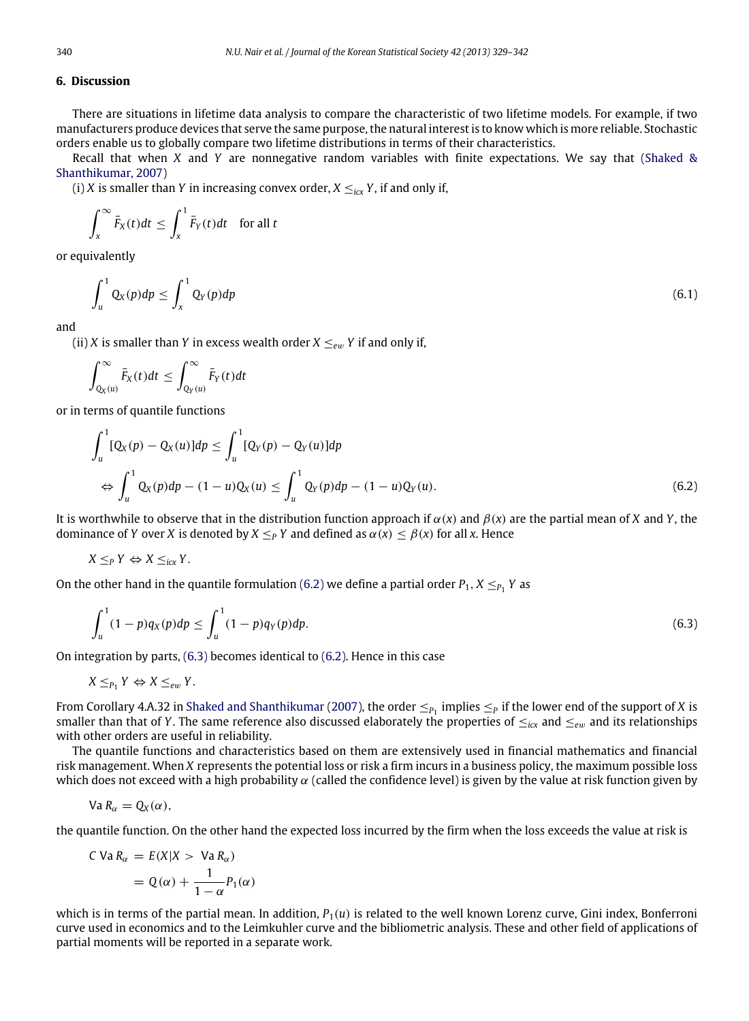#### <span id="page-11-0"></span>**6. Discussion**

There are situations in lifetime data analysis to compare the characteristic of two lifetime models. For example, if two manufacturers produce devices that serve the same purpose, the natural interest is to know which is more reliable. Stochastic orders enable us to globally compare two lifetime distributions in terms of their characteristics.

Recall that when *X* and *Y* are nonnegative random variables with finite expectations. We say that [\(Shaked](#page-13-16) [&](#page-13-16) [Shanthikumar,](#page-13-16) [2007\)](#page-13-16)

(i) *X* is smaller than *Y* in increasing convex order,  $X \leq_{i} Y$ , if and only if,

$$
\int_x^{\infty} \bar{F}_X(t)dt \leq \int_x^1 \bar{F}_Y(t)dt \quad \text{for all } t
$$

or equivalently

$$
\int_{u}^{1} Q_X(p) dp \le \int_{x}^{1} Q_Y(p) dp \tag{6.1}
$$

and

(ii) *X* is smaller than *Y* in excess wealth order  $X \leq_{ew} Y$  if and only if,

$$
\int_{Q_X(u)}^{\infty} \bar{F}_X(t)dt \leq \int_{Q_Y(u)}^{\infty} \bar{F}_Y(t)dt
$$

or in terms of quantile functions

<span id="page-11-1"></span>
$$
\int_{u}^{1} [Q_{X}(p) - Q_{X}(u)]dp \le \int_{u}^{1} [Q_{Y}(p) - Q_{Y}(u)]dp
$$
  
\n
$$
\Leftrightarrow \int_{u}^{1} Q_{X}(p)dp - (1 - u)Q_{X}(u) \le \int_{u}^{1} Q_{Y}(p)dp - (1 - u)Q_{Y}(u).
$$
\n(6.2)

It is worthwhile to observe that in the distribution function approach if  $\alpha(x)$  and  $\beta(x)$  are the partial mean of *X* and *Y*, the dominance of *Y* over *X* is denoted by  $X \leq_P Y$  and defined as  $\alpha(x) \leq \beta(x)$  for all *x*. Hence

$$
X \leq_P Y \Leftrightarrow X \leq_{icx} Y.
$$

On the other hand in the quantile formulation [\(6.2\)](#page-11-1) we define a partial order  $P_1$ ,  $X \leq_{P_1} Y$  as

<span id="page-11-2"></span>
$$
\int_{u}^{1} (1-p) q_X(p) dp \le \int_{u}^{1} (1-p) q_Y(p) dp.
$$
\n(6.3)

On integration by parts, [\(6.3\)](#page-11-2) becomes identical to [\(6.2\).](#page-11-1) Hence in this case

$$
X \leq_{P_1} Y \Leftrightarrow X \leq_{ew} Y.
$$

From Corollary 4.A.32 in [Shaked](#page-13-16) [and](#page-13-16) [Shanthikumar](#page-13-16) [\(2007\)](#page-13-16), the order  $\leq_{P_1}$  implies  $\leq_P$  if the lower end of the support of *X* is smaller than that of *Y*. The same reference also discussed elaborately the properties of  $\leq_{icx}$  and  $\leq_{e w}$  and its relationships with other orders are useful in reliability.

The quantile functions and characteristics based on them are extensively used in financial mathematics and financial risk management. When *X* represents the potential loss or risk a firm incurs in a business policy, the maximum possible loss which does not exceed with a high probability  $\alpha$  (called the confidence level) is given by the value at risk function given by

$$
Va R_{\alpha} = Q_X(\alpha),
$$

the quantile function. On the other hand the expected loss incurred by the firm when the loss exceeds the value at risk is

$$
C Va R_{\alpha} = E(X|X > Va R_{\alpha})
$$
  
=  $Q(\alpha) + \frac{1}{1 - \alpha} P_1(\alpha)$ 

which is in terms of the partial mean. In addition,  $P_1(u)$  is related to the well known Lorenz curve, Gini index, Bonferroni curve used in economics and to the Leimkuhler curve and the bibliometric analysis. These and other field of applications of partial moments will be reported in a separate work.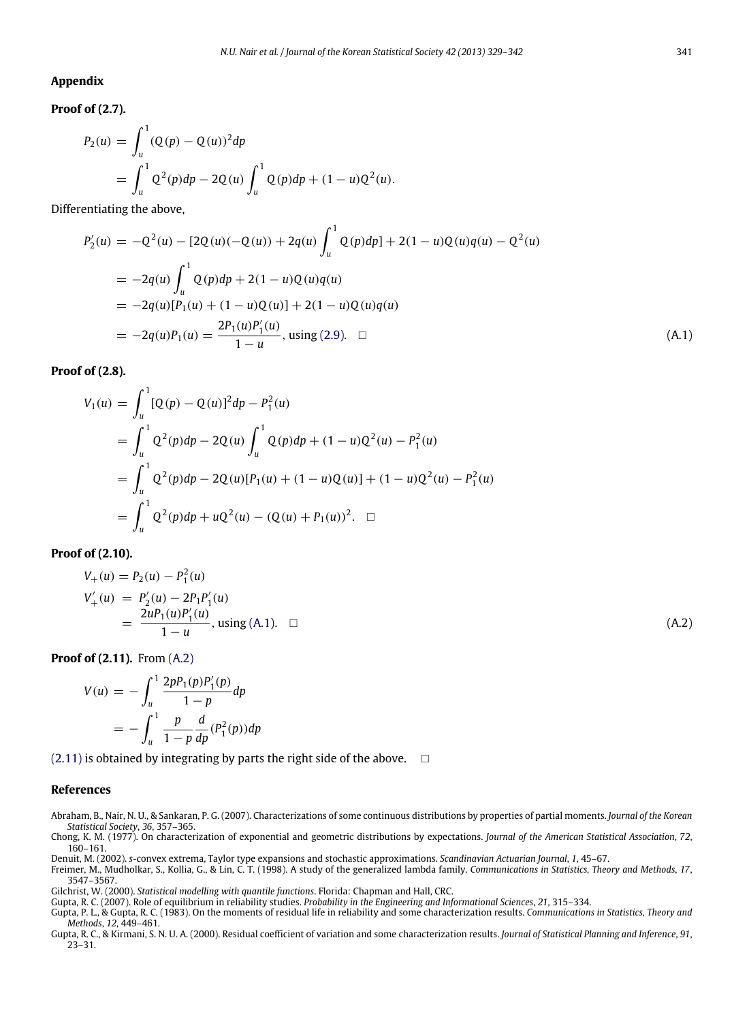#### <span id="page-12-7"></span>**Appendix**

**Proof of (2.7).**

$$
P_2(u) = \int_u^1 (Q(p) - Q(u))^2 dp
$$
  
= 
$$
\int_u^1 Q^2(p) dp - 2Q(u) \int_u^1 Q(p) dp + (1 - u)Q^2(u).
$$

Differentiating the above,

$$
P'_{2}(u) = -Q^{2}(u) - [2Q(u)(-Q(u)) + 2q(u) \int_{u}^{1} Q(p)dp] + 2(1-u)Q(u)q(u) - Q^{2}(u)
$$
  
\n
$$
= -2q(u) \int_{u}^{1} Q(p)dp + 2(1-u)Q(u)q(u)
$$
  
\n
$$
= -2q(u)[P_{1}(u) + (1-u)Q(u)] + 2(1-u)Q(u)q(u)
$$
  
\n
$$
= -2q(u)P_{1}(u) = \frac{2P_{1}(u)P'_{1}(u)}{1-u}, \text{ using (2.9).} \quad \Box
$$
\n(A.1)

**Proof of (2.8).**

<span id="page-12-9"></span>
$$
V_1(u) = \int_u^1 [Q(p) - Q(u)]^2 dp - P_1^2(u)
$$
  
= 
$$
\int_u^1 Q^2(p) dp - 2Q(u) \int_u^1 Q(p) dp + (1 - u)Q^2(u) - P_1^2(u)
$$
  
= 
$$
\int_u^1 Q^2(p) dp - 2Q(u)[P_1(u) + (1 - u)Q(u)] + (1 - u)Q^2(u) - P_1^2(u)
$$
  
= 
$$
\int_u^1 Q^2(p) dp + uQ^2(u) - (Q(u) + P_1(u))^2.
$$

**Proof of (2.10).**

<span id="page-12-10"></span>
$$
V_{+}(u) = P_{2}(u) - P_{1}^{2}(u)
$$
  
\n
$$
V'_{+}(u) = P'_{2}(u) - 2P_{1}P'_{1}(u)
$$
  
\n
$$
= \frac{2uP_{1}(u)P'_{1}(u)}{1-u}
$$
, using (A.1).  $\square$  (A.2)

**Proof of (2.11).** From [\(A.2\)](#page-12-10)

$$
V(u) = -\int_{u}^{1} \frac{2pP_1(p)P'_1(p)}{1-p} dp
$$
  
= 
$$
-\int_{u}^{1} \frac{p}{1-p} \frac{d}{dp}(P_1^2(p)) dp
$$

 $(2.11)$  is obtained by integrating by parts the right side of the above.  $\Box$ 

#### **References**

<span id="page-12-2"></span>Abraham, B., Nair, N. U., & Sankaran, P. G. (2007). Characterizations of some continuous distributions by properties of partial moments. *Journal of the Korean Statistical Society*, *36*, 357–365.

<span id="page-12-3"></span>Chong, K. M. (1977). On characterization of exponential and geometric distributions by expectations. *Journal of the American Statistical Association*, *72*, 160–161.

- <span id="page-12-5"></span><span id="page-12-0"></span>Denuit, M. (2002). s-convex extrema, Taylor type expansions and stochastic approximations. Scandinavian Actuarian Journal, 1, 45–67.<br>Freimer, M., Mudholkar, S., Kollia, G., & Lin, C. T. (1998). A study of the generalized l
- 3547–3567.

<span id="page-12-6"></span>Gilchrist, W. (2000). *Statistical modelling with quantile functions*. Florida: Chapman and Hall, CRC.

- <span id="page-12-4"></span>Gupta, R. C. (2007). Role of equilibrium in reliability studies. *Probability in the Engineering and Informational Sciences*, *21*, 315–334.
- <span id="page-12-1"></span>Gupta, P. L., & Gupta, R. C. (1983). On the moments of residual life in reliability and some characterization results. *Communications in Statistics, Theory and Methods*, *12*, 449–461.
- <span id="page-12-8"></span>Gupta, R. C., & Kirmani, S. N. U. A. (2000). Residual coefficient of variation and some characterization results. *Journal of Statistical Planning and Inference*, *91*, 23–31.